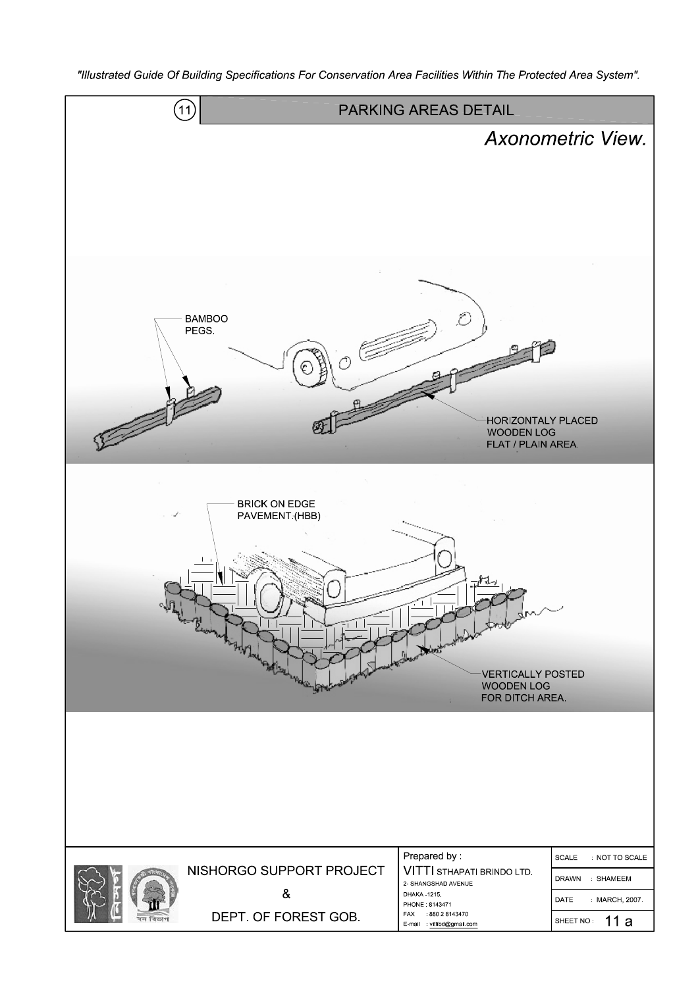"Illustrated Guide Of Building Specifications For Conservation Area Facilities Within The Protected Area System".

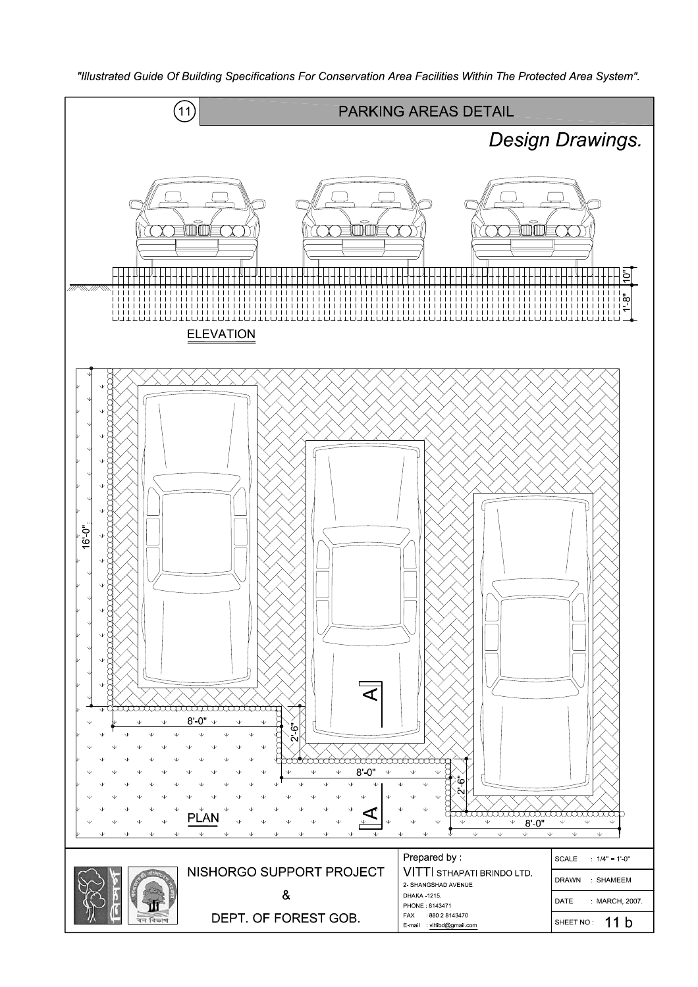

"Illustrated Guide Of Building Specifications For Conservation Area Facilities Within The Protected Area System".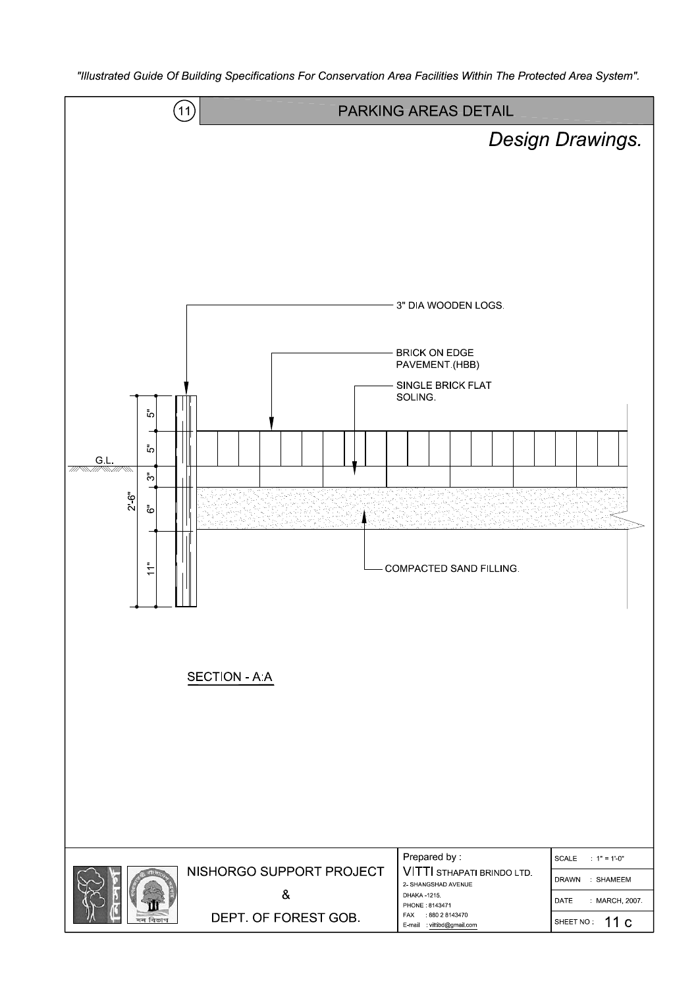"Illustrated Guide Of Building Specifications For Conservation Area Facilities Within The Protected Area System".